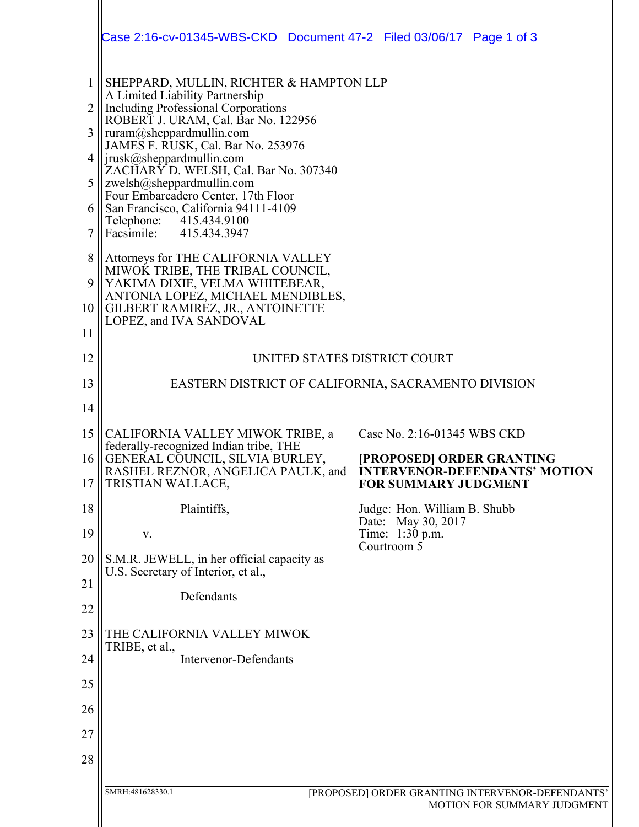|                                                              | Case 2:16-cv-01345-WBS-CKD  Document 47-2  Filed 03/06/17  Page 1 of 3                                                                                                                                                                                                                                                                                                                                                                                                                                             |                                                                                                  |
|--------------------------------------------------------------|--------------------------------------------------------------------------------------------------------------------------------------------------------------------------------------------------------------------------------------------------------------------------------------------------------------------------------------------------------------------------------------------------------------------------------------------------------------------------------------------------------------------|--------------------------------------------------------------------------------------------------|
| $\mathbf{1}$<br>$\overline{2}$<br>3<br>4<br>5<br>6<br>7<br>8 | SHEPPARD, MULLIN, RICHTER & HAMPTON LLP<br>A Limited Liability Partnership<br><b>Including Professional Corporations</b><br>ROBERT J. URAM, Cal. Bar No. 122956<br>ruram@sheppardmullin.com<br>JAMES F. RUSK, Cal. Bar No. 253976<br>jrusk@sheppardmullin.com<br>ZACHARY D. WELSH, Cal. Bar No. 307340<br>zwelsh@sheppardmullin.com<br>Four Embarcadero Center, 17th Floor<br>San Francisco, California 94111-4109<br>Telephone:<br>415.434.9100<br>Facsimile: 415.434.3947<br>Attorneys for THE CALIFORNIA VALLEY |                                                                                                  |
| 9<br>10<br>11                                                | MIWOK TRIBE, THE TRIBAL COUNCIL,<br>YAKIMA DIXIE, VELMA WHITEBEAR,<br>ANTONIA LOPEZ, MICHAEL MENDIBLES,<br>GILBERT RAMIREZ, JR., ANTOINETTE<br>LOPEZ, and IVA SANDOVAL                                                                                                                                                                                                                                                                                                                                             |                                                                                                  |
| 12                                                           | UNITED STATES DISTRICT COURT                                                                                                                                                                                                                                                                                                                                                                                                                                                                                       |                                                                                                  |
| 13                                                           |                                                                                                                                                                                                                                                                                                                                                                                                                                                                                                                    | EASTERN DISTRICT OF CALIFORNIA, SACRAMENTO DIVISION                                              |
| 14                                                           |                                                                                                                                                                                                                                                                                                                                                                                                                                                                                                                    |                                                                                                  |
| 15                                                           | CALIFORNIA VALLEY MIWOK TRIBE, a<br>federally-recognized Indian tribe, THE                                                                                                                                                                                                                                                                                                                                                                                                                                         | Case No. 2:16-01345 WBS CKD                                                                      |
| 16<br>17                                                     | GENERAL COUNCIL, SILVIA BURLEY,<br>RASHEL REZNOR, ANGELICA PAULK, and<br>TRISTIAN WALLACE,                                                                                                                                                                                                                                                                                                                                                                                                                         | [PROPOSED] ORDER GRANTING<br><b>INTERVENOR-DEFENDANTS' MOTION</b><br><b>FOR SUMMARY JUDGMENT</b> |
| 18                                                           | Plaintiffs,                                                                                                                                                                                                                                                                                                                                                                                                                                                                                                        | Judge: Hon. William B. Shubb                                                                     |
| 19                                                           | V.                                                                                                                                                                                                                                                                                                                                                                                                                                                                                                                 | Date: May 30, 2017<br>Time: 1:30 p.m.                                                            |
| 20                                                           | S.M.R. JEWELL, in her official capacity as<br>U.S. Secretary of Interior, et al.,                                                                                                                                                                                                                                                                                                                                                                                                                                  | Courtroom 5                                                                                      |
| 21                                                           | Defendants                                                                                                                                                                                                                                                                                                                                                                                                                                                                                                         |                                                                                                  |
| 22                                                           |                                                                                                                                                                                                                                                                                                                                                                                                                                                                                                                    |                                                                                                  |
| 23                                                           | THE CALIFORNIA VALLEY MIWOK<br>TRIBE, et al.,                                                                                                                                                                                                                                                                                                                                                                                                                                                                      |                                                                                                  |
| 24                                                           | <b>Intervenor-Defendants</b>                                                                                                                                                                                                                                                                                                                                                                                                                                                                                       |                                                                                                  |
| 25                                                           |                                                                                                                                                                                                                                                                                                                                                                                                                                                                                                                    |                                                                                                  |
| 26                                                           |                                                                                                                                                                                                                                                                                                                                                                                                                                                                                                                    |                                                                                                  |
| 27                                                           |                                                                                                                                                                                                                                                                                                                                                                                                                                                                                                                    |                                                                                                  |
| 28                                                           |                                                                                                                                                                                                                                                                                                                                                                                                                                                                                                                    |                                                                                                  |
|                                                              | SMRH:481628330.1                                                                                                                                                                                                                                                                                                                                                                                                                                                                                                   | [PROPOSED] ORDER GRANTING INTERVENOR-DEFENDANTS'<br>MOTION FOR SUMMARY JUDGMENT                  |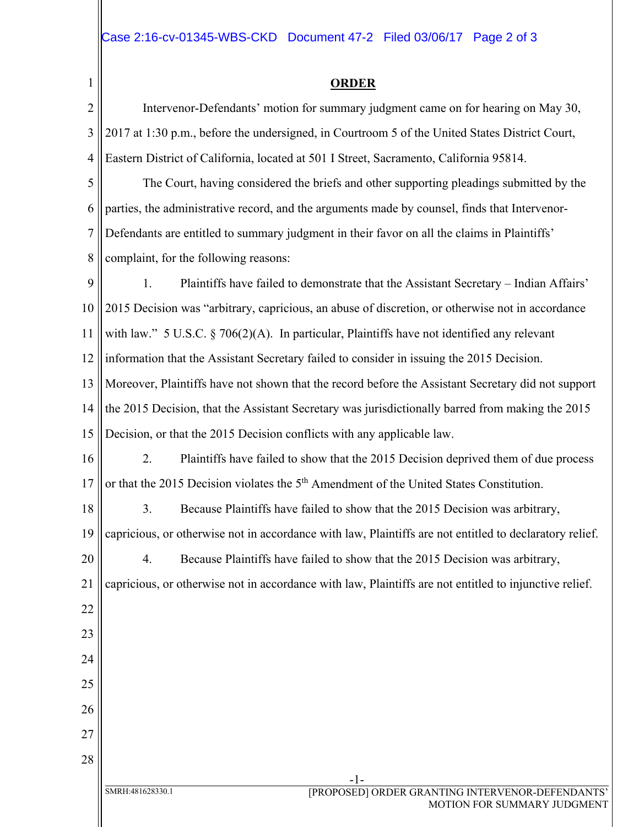1

20

22

23

24

25

26

27

28

## **ORDER**

2 3 4 Intervenor-Defendants' motion for summary judgment came on for hearing on May 30, 2017 at 1:30 p.m., before the undersigned, in Courtroom 5 of the United States District Court, Eastern District of California, located at 501 I Street, Sacramento, California 95814.

5 6 7 8 The Court, having considered the briefs and other supporting pleadings submitted by the parties, the administrative record, and the arguments made by counsel, finds that Intervenor-Defendants are entitled to summary judgment in their favor on all the claims in Plaintiffs' complaint, for the following reasons:

9 10 11 12 13 14 1. Plaintiffs have failed to demonstrate that the Assistant Secretary – Indian Affairs' 2015 Decision was "arbitrary, capricious, an abuse of discretion, or otherwise not in accordance with law." 5 U.S.C.  $\S$  706(2)(A). In particular, Plaintiffs have not identified any relevant information that the Assistant Secretary failed to consider in issuing the 2015 Decision. Moreover, Plaintiffs have not shown that the record before the Assistant Secretary did not support the 2015 Decision, that the Assistant Secretary was jurisdictionally barred from making the 2015

15 Decision, or that the 2015 Decision conflicts with any applicable law.

16 17 2. Plaintiffs have failed to show that the 2015 Decision deprived them of due process or that the 2015 Decision violates the 5<sup>th</sup> Amendment of the United States Constitution.

18 3. Because Plaintiffs have failed to show that the 2015 Decision was arbitrary,

19 capricious, or otherwise not in accordance with law, Plaintiffs are not entitled to declaratory relief.

4. Because Plaintiffs have failed to show that the 2015 Decision was arbitrary,

21 capricious, or otherwise not in accordance with law, Plaintiffs are not entitled to injunctive relief.